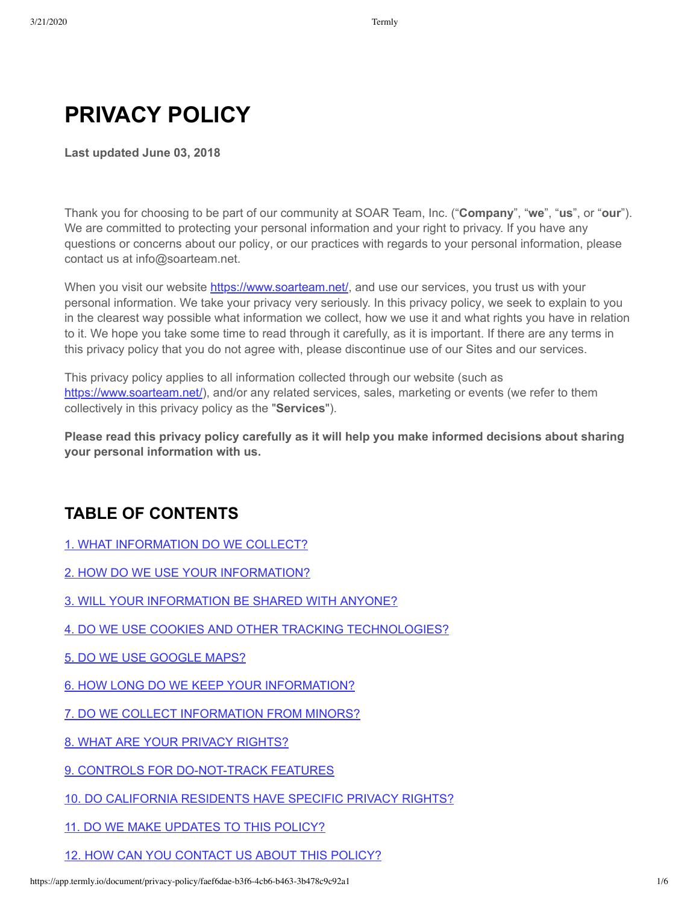# **PRIVACY POLICY**

**Last updated June 03, 2018**

Thank you for choosing to be part of our community at SOAR Team, Inc. ("**Company**", "**we**", "**us**", or "**our**"). We are committed to protecting your personal information and your right to privacy. If you have any questions or concerns about our policy, or our practices with regards to your personal information, please contact us at info@soarteam.net.

When you visit our website<https://www.soarteam.net/>, and use our services, you trust us with your personal information. We take your privacy very seriously. In this privacy policy, we seek to explain to you in the clearest way possible what information we collect, how we use it and what rights you have in relation to it. We hope you take some time to read through it carefully, as it is important. If there are any terms in this privacy policy that you do not agree with, please discontinue use of our Sites and our services.

This privacy policy applies to all information collected through our website (such as <https://www.soarteam.net/>), and/or any related services, sales, marketing or events (we refer to them collectively in this privacy policy as the "**Services**").

**Please read this privacy policy carefully as it will help you make informed decisions about sharing your personal information with us.**

#### **TABLE OF CONTENTS**

[1. WHAT INFORMATION DO WE COLLECT?](#page-1-0)

[2. HOW DO WE USE YOUR INFORMATION?](#page-1-1)

[3. WILL YOUR INFORMATION BE SHARED WITH ANYONE?](#page-2-0)

- [4. DO WE USE COOKIES AND OTHER TRACKING TECHNOLOGIES?](#page-3-0)
- [5. DO WE USE GOOGLE MAPS?](#page-3-1)

[6. HOW LONG DO WE KEEP YOUR INFORMATION?](#page-3-2)

[7. DO WE COLLECT INFORMATION FROM MINORS?](#page-4-0)

[8. WHAT ARE YOUR PRIVACY RIGHTS?](#page-4-1)

[9. CONTROLS FOR DO-NOT-TRACK FEATURES](#page-4-2)

- [10. DO CALIFORNIA RESIDENTS HAVE SPECIFIC PRIVACY RIGHTS?](#page-4-3)
- [11. DO WE MAKE UPDATES TO THIS POLICY?](#page-5-0)

[12. HOW CAN YOU CONTACT US ABOUT THIS POLICY?](#page-5-1)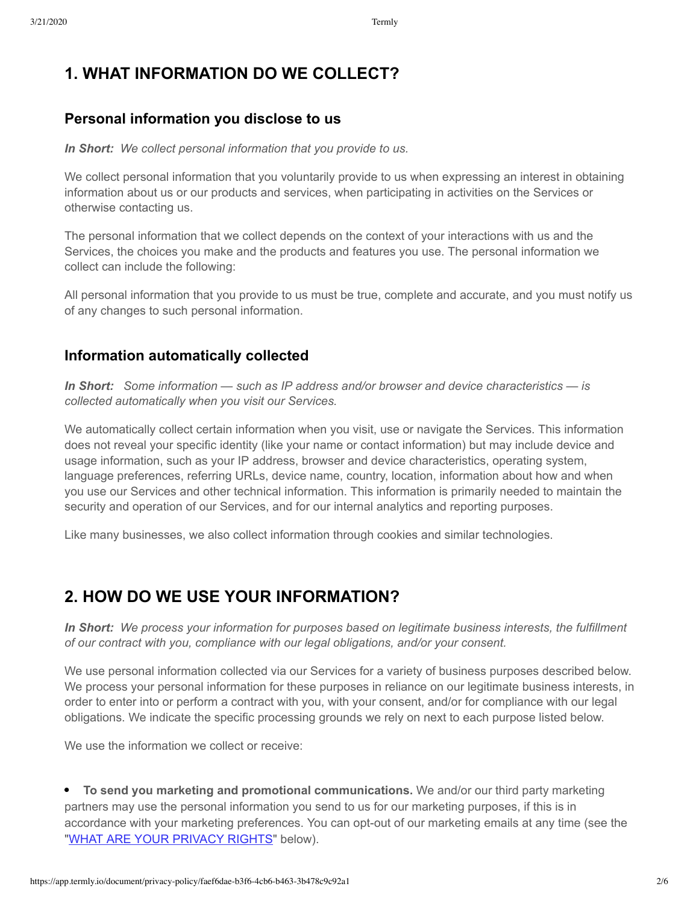#### <span id="page-1-0"></span>**1. WHAT INFORMATION DO WE COLLECT?**

#### **Personal information you disclose to us**

#### *In Short:**We collect personal information that you provide to us.*

We collect personal information that you voluntarily provide to us when expressing an interest in obtaining information about us or our products and services, when participating in activities on the Services or otherwise contacting us.

The personal information that we collect depends on the context of your interactions with us and the Services, the choices you make and the products and features you use. The personal information we collect can include the following:

All personal information that you provide to us must be true, complete and accurate, and you must notify us of any changes to such personal information.

#### **Information automatically collected**

*In Short: Some information — such as IP address and/or browser and device characteristics — is collected automatically when you visit our Services.*

We automatically collect certain information when you visit, use or navigate the Services. This information does not reveal your specific identity (like your name or contact information) but may include device and usage information, such as your IP address, browser and device characteristics, operating system, language preferences, referring URLs, device name, country, location, information about how and when you use our Services and other technical information. This information is primarily needed to maintain the security and operation of our Services, and for our internal analytics and reporting purposes.

Like many businesses, we also collect information through cookies and similar technologies.

#### <span id="page-1-1"></span>**2. HOW DO WE USE YOUR INFORMATION?**

*In Short: We process your information for purposes based on legitimate business interests, the fulfillment of our contract with you, compliance with our legal obligations, and/or your consent.*

We use personal information collected via our Services for a variety of business purposes described below. We process your personal information for these purposes in reliance on our legitimate business interests, in order to enter into or perform a contract with you, with your consent, and/or for compliance with our legal obligations. We indicate the specific processing grounds we rely on next to each purpose listed below.

We use the information we collect or receive:

**To send you marketing and promotional communications.** We and/or our third party marketing partners may use the personal information you send to us for our marketing purposes, if this is in accordance with your marketing preferences. You can opt-out of our marketing emails at any time (see the ["WHAT ARE YOUR PRIVACY RIGHTS](#page-4-1)" below).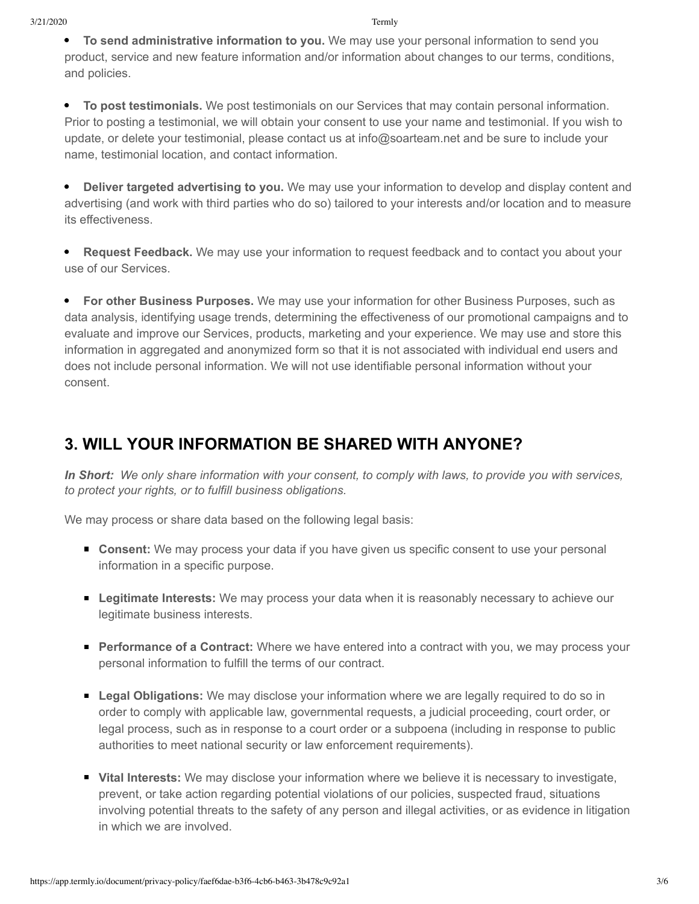**To send administrative information to you.** We may use your personal information to send you product, service and new feature information and/or information about changes to our terms, conditions, and policies.

**To post testimonials.** We post testimonials on our Services that may contain personal information. Prior to posting a testimonial, we will obtain your consent to use your name and testimonial. If you wish to update, or delete your testimonial, please contact us at info@soarteam.net and be sure to include your name, testimonial location, and contact information.

**• Deliver targeted advertising to you.** We may use your information to develop and display content and advertising (and work with third parties who do so) tailored to your interests and/or location and to measure its effectiveness.

**Request Feedback.** We may use your information to request feedback and to contact you about your use of our Services.

**For other Business Purposes.** We may use your information for other Business Purposes, such as data analysis, identifying usage trends, determining the effectiveness of our promotional campaigns and to evaluate and improve our Services, products, marketing and your experience. We may use and store this information in aggregated and anonymized form so that it is not associated with individual end users and does not include personal information. We will not use identifiable personal information without your consent.

#### <span id="page-2-0"></span>**3. WILL YOUR INFORMATION BE SHARED WITH ANYONE?**

*In Short: We only share information with your consent, to comply with laws, to provide you with services, to protect your rights, or to fulfill business obligations.*

We may process or share data based on the following legal basis:

- **Consent:** We may process your data if you have given us specific consent to use your personal information in a specific purpose.
- **Legitimate Interests:** We may process your data when it is reasonably necessary to achieve our legitimate business interests.
- **Performance of a Contract:** Where we have entered into a contract with you, we may process your personal information to fulfill the terms of our contract.
- **Legal Obligations:** We may disclose your information where we are legally required to do so in order to comply with applicable law, governmental requests, a judicial proceeding, court order, or legal process, such as in response to a court order or a subpoena (including in response to public authorities to meet national security or law enforcement requirements).
- **Vital Interests:** We may disclose your information where we believe it is necessary to investigate, prevent, or take action regarding potential violations of our policies, suspected fraud, situations involving potential threats to the safety of any person and illegal activities, or as evidence in litigation in which we are involved.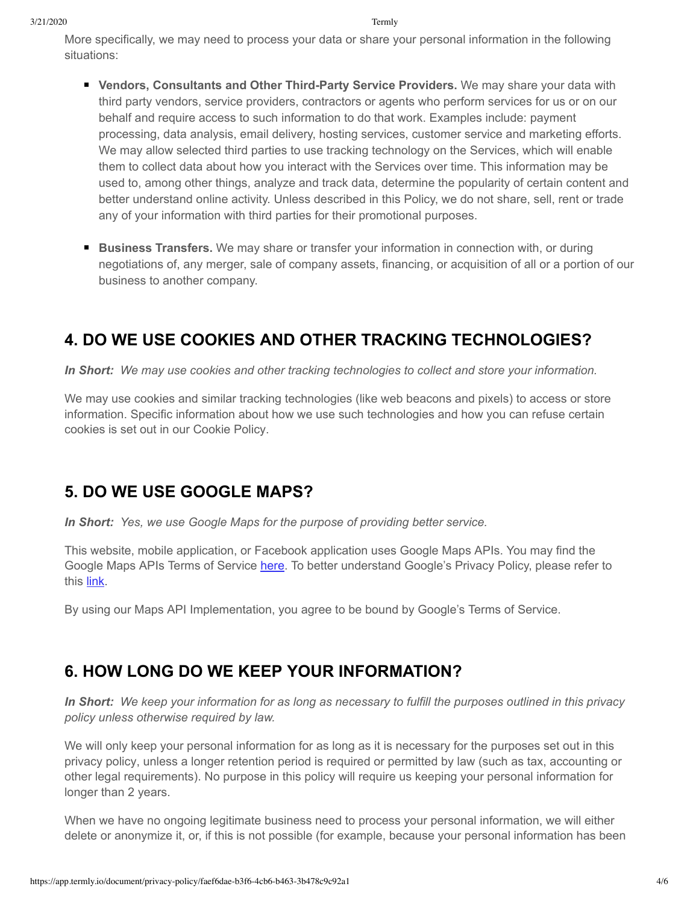More specifically, we may need to process your data or share your personal information in the following situations:

- **Vendors, Consultants and Other Third-Party Service Providers.** We may share your data with third party vendors, service providers, contractors or agents who perform services for us or on our behalf and require access to such information to do that work. Examples include: payment processing, data analysis, email delivery, hosting services, customer service and marketing efforts. We may allow selected third parties to use tracking technology on the Services, which will enable them to collect data about how you interact with the Services over time. This information may be used to, among other things, analyze and track data, determine the popularity of certain content and better understand online activity. Unless described in this Policy, we do not share, sell, rent or trade any of your information with third parties for their promotional purposes.
- **Business Transfers.** We may share or transfer your information in connection with, or during negotiations of, any merger, sale of company assets, financing, or acquisition of all or a portion of our business to another company.

## <span id="page-3-0"></span>**4. DO WE USE COOKIES AND OTHER TRACKING TECHNOLOGIES?**

*In Short: We may use cookies and other tracking technologies to collect and store your information.*

We may use cookies and similar tracking technologies (like web beacons and pixels) to access or store information. Specific information about how we use such technologies and how you can refuse certain cookies is set out in our Cookie Policy.

#### <span id="page-3-1"></span>**5. DO WE USE GOOGLE MAPS?**

*In Short: Yes, we use Google Maps for the purpose of providing better service.*

This website, mobile application, or Facebook application uses Google Maps APIs. You may find the Google Maps APIs Terms of Service [here](https://developers.google.com/maps/terms). To better understand Google's Privacy Policy, please refer to this [link.](https://policies.google.com/privacy)

By using our Maps API Implementation, you agree to be bound by Google's Terms of Service.

#### <span id="page-3-2"></span>**6. HOW LONG DO WE KEEP YOUR INFORMATION?**

*In Short: We keep your information for as long as necessary to fulfill the purposes outlined in this privacy policy unless otherwise required by law.*

We will only keep your personal information for as long as it is necessary for the purposes set out in this privacy policy, unless a longer retention period is required or permitted by law (such as tax, accounting or other legal requirements). No purpose in this policy will require us keeping your personal information for longer than 2 years.

When we have no ongoing legitimate business need to process your personal information, we will either delete or anonymize it, or, if this is not possible (for example, because your personal information has been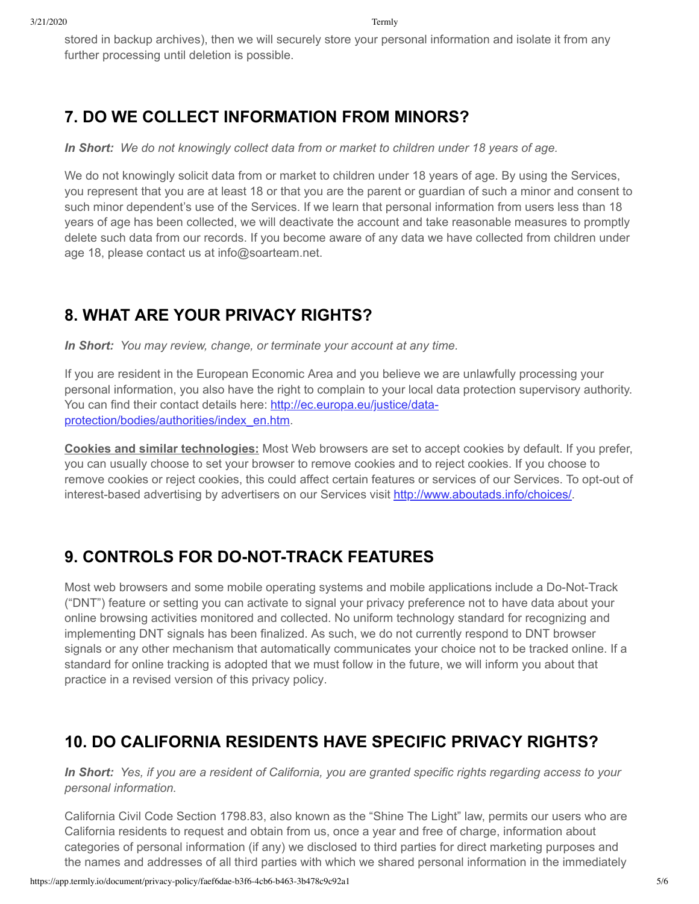stored in backup archives), then we will securely store your personal information and isolate it from any further processing until deletion is possible.

#### <span id="page-4-0"></span>**7. DO WE COLLECT INFORMATION FROM MINORS?**

*In Short: We do not knowingly collect data from or market to children under 18 years of age.*

We do not knowingly solicit data from or market to children under 18 years of age. By using the Services, you represent that you are at least 18 or that you are the parent or guardian of such a minor and consent to such minor dependent's use of the Services. If we learn that personal information from users less than 18 years of age has been collected, we will deactivate the account and take reasonable measures to promptly delete such data from our records. If you become aware of any data we have collected from children under age 18, please contact us at info@soarteam.net.

# <span id="page-4-1"></span>**8. WHAT ARE YOUR PRIVACY RIGHTS?**

*In Short: You may review, change, or terminate your account at any time.*

If you are resident in the European Economic Area and you believe we are unlawfully processing your personal information, you also have the right to complain to your local data protection supervisory authority. You can find their contact details here: http://ec.europa.eu/justice/data[protection/bodies/authorities/index\\_en.htm.](http://ec.europa.eu/justice/data-protection/bodies/authorities/index_en.htm)

**Cookies and similar technologies:** Most Web browsers are set to accept cookies by default. If you prefer, you can usually choose to set your browser to remove cookies and to reject cookies. If you choose to remove cookies or reject cookies, this could affect certain features or services of our Services. To opt-out of interest-based advertising by advertisers on our Services visit [http://www.aboutads.info/choices/.](http://www.aboutads.info/choices/)

## <span id="page-4-2"></span>**9. CONTROLS FOR DO-NOT-TRACK FEATURES**

Most web browsers and some mobile operating systems and mobile applications include a Do-Not-Track ("DNT") feature or setting you can activate to signal your privacy preference not to have data about your online browsing activities monitored and collected. No uniform technology standard for recognizing and implementing DNT signals has been finalized. As such, we do not currently respond to DNT browser signals or any other mechanism that automatically communicates your choice not to be tracked online. If a standard for online tracking is adopted that we must follow in the future, we will inform you about that practice in a revised version of this privacy policy.

## <span id="page-4-3"></span>**10. DO CALIFORNIA RESIDENTS HAVE SPECIFIC PRIVACY RIGHTS?**

*In Short: Yes, if you are a resident of California, you are granted specific rights regarding access to your personal information.*

California Civil Code Section 1798.83, also known as the "Shine The Light" law, permits our users who are California residents to request and obtain from us, once a year and free of charge, information about categories of personal information (if any) we disclosed to third parties for direct marketing purposes and the names and addresses of all third parties with which we shared personal information in the immediately